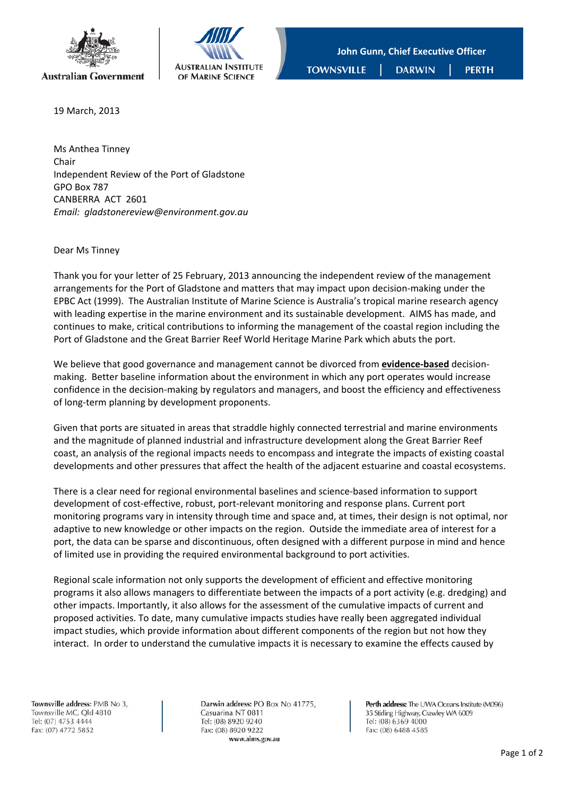



19 March, 2013

Ms Anthea Tinney Chair Independent Review of the Port of Gladstone GPO Box 787 CANBERRA ACT 2601 *Email: gladstonereview@environment.gov.au*

## Dear Ms Tinney

Thank you for your letter of 25 February, 2013 announcing the independent review of the management arrangements for the Port of Gladstone and matters that may impact upon decision-making under the EPBC Act (1999). The Australian Institute of Marine Science is Australia's tropical marine research agency with leading expertise in the marine environment and its sustainable development. AIMS has made, and continues to make, critical contributions to informing the management of the coastal region including the Port of Gladstone and the Great Barrier Reef World Heritage Marine Park which abuts the port.

We believe that good governance and management cannot be divorced from **evidence-based** decisionmaking. Better baseline information about the environment in which any port operates would increase confidence in the decision-making by regulators and managers, and boost the efficiency and effectiveness of long‐term planning by development proponents.

Given that ports are situated in areas that straddle highly connected terrestrial and marine environments and the magnitude of planned industrial and infrastructure development along the Great Barrier Reef coast, an analysis of the regional impacts needs to encompass and integrate the impacts of existing coastal developments and other pressures that affect the health of the adjacent estuarine and coastal ecosystems.

There is a clear need for regional environmental baselines and science‐based information to support development of cost‐effective, robust, port‐relevant monitoring and response plans. Current port monitoring programs vary in intensity through time and space and, at times, their design is not optimal, nor adaptive to new knowledge or other impacts on the region. Outside the immediate area of interest for a port, the data can be sparse and discontinuous, often designed with a different purpose in mind and hence of limited use in providing the required environmental background to port activities.

Regional scale information not only supports the development of efficient and effective monitoring programs it also allows managers to differentiate between the impacts of a port activity (e.g. dredging) and other impacts. Importantly, it also allows for the assessment of the cumulative impacts of current and proposed activities. To date, many cumulative impacts studies have really been aggregated individual impact studies, which provide information about different components of the region but not how they interact. In order to understand the cumulative impacts it is necessary to examine the effects caused by

Townsville address: PMB No 3, Townsville MC, Old 4810 Tel: (07) 4753 4444 Fax: (07) 4772 5852

Darwin address: PO Box No 41775, Casuarina NT 0811 Tel: (08) 8920 9240 Fax: (08) 8920 9222 www.aims.gov.au

Perth address: The UWA Oceans Institute (M096) 35 Stirling Highway, Crawley WA 6009 Tel: (08) 6369 4000 Fax: (08) 6488 4585